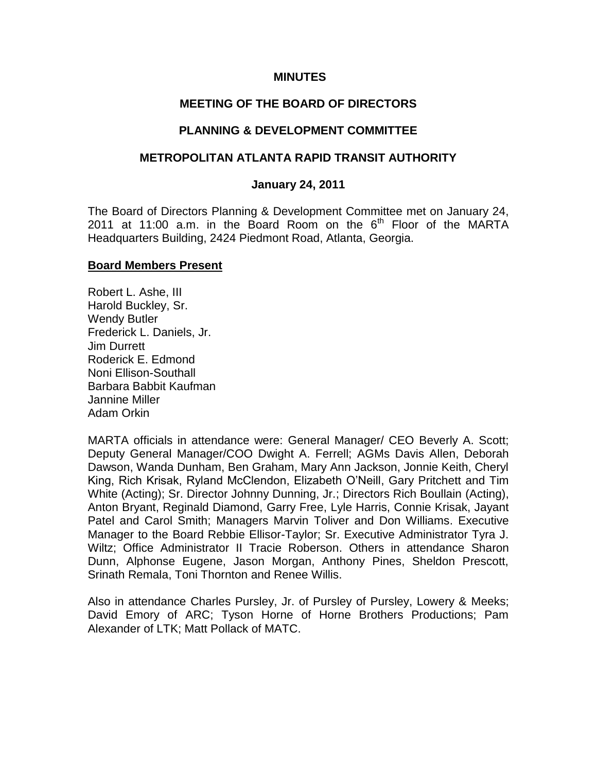#### **MINUTES**

#### **MEETING OF THE BOARD OF DIRECTORS**

#### **PLANNING & DEVELOPMENT COMMITTEE**

#### **METROPOLITAN ATLANTA RAPID TRANSIT AUTHORITY**

#### **January 24, 2011**

The Board of Directors Planning & Development Committee met on January 24, 2011 at 11:00 a.m. in the Board Room on the  $6<sup>th</sup>$  Floor of the MARTA Headquarters Building, 2424 Piedmont Road, Atlanta, Georgia.

#### **Board Members Present**

Robert L. Ashe, III Harold Buckley, Sr. Wendy Butler Frederick L. Daniels, Jr. Jim Durrett Roderick E. Edmond Noni Ellison-Southall Barbara Babbit Kaufman Jannine Miller Adam Orkin

MARTA officials in attendance were: General Manager/ CEO Beverly A. Scott; Deputy General Manager/COO Dwight A. Ferrell; AGMs Davis Allen, Deborah Dawson, Wanda Dunham, Ben Graham, Mary Ann Jackson, Jonnie Keith, Cheryl King, Rich Krisak, Ryland McClendon, Elizabeth O'Neill, Gary Pritchett and Tim White (Acting); Sr. Director Johnny Dunning, Jr.; Directors Rich Boullain (Acting), Anton Bryant, Reginald Diamond, Garry Free, Lyle Harris, Connie Krisak, Jayant Patel and Carol Smith; Managers Marvin Toliver and Don Williams. Executive Manager to the Board Rebbie Ellisor-Taylor; Sr. Executive Administrator Tyra J. Wiltz; Office Administrator II Tracie Roberson. Others in attendance Sharon Dunn, Alphonse Eugene, Jason Morgan, Anthony Pines, Sheldon Prescott, Srinath Remala, Toni Thornton and Renee Willis.

Also in attendance Charles Pursley, Jr. of Pursley of Pursley, Lowery & Meeks; David Emory of ARC; Tyson Horne of Horne Brothers Productions; Pam Alexander of LTK; Matt Pollack of MATC.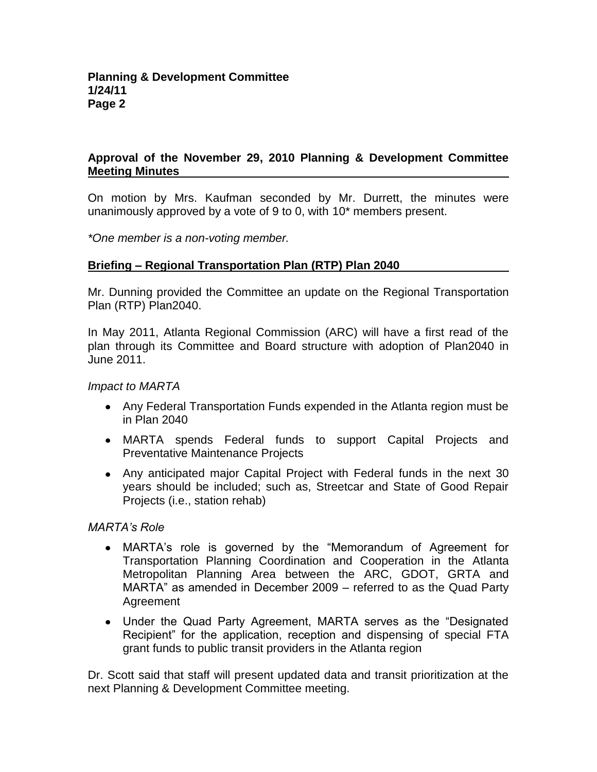# **Approval of the November 29, 2010 Planning & Development Committee Meeting Minutes**

On motion by Mrs. Kaufman seconded by Mr. Durrett, the minutes were unanimously approved by a vote of 9 to 0, with 10\* members present.

*\*One member is a non-voting member.*

## **Briefing – Regional Transportation Plan (RTP) Plan 2040**

Mr. Dunning provided the Committee an update on the Regional Transportation Plan (RTP) Plan2040.

In May 2011, Atlanta Regional Commission (ARC) will have a first read of the plan through its Committee and Board structure with adoption of Plan2040 in June 2011.

#### *Impact to MARTA*

- Any Federal Transportation Funds expended in the Atlanta region must be in Plan 2040
- MARTA spends Federal funds to support Capital Projects and Preventative Maintenance Projects
- Any anticipated major Capital Project with Federal funds in the next 30 years should be included; such as, Streetcar and State of Good Repair Projects (i.e., station rehab)

## *MARTA's Role*

- MARTA's role is governed by the "Memorandum of Agreement for Transportation Planning Coordination and Cooperation in the Atlanta Metropolitan Planning Area between the ARC, GDOT, GRTA and MARTA" as amended in December 2009 – referred to as the Quad Party **Agreement**
- Under the Quad Party Agreement, MARTA serves as the "Designated Recipient" for the application, reception and dispensing of special FTA grant funds to public transit providers in the Atlanta region

Dr. Scott said that staff will present updated data and transit prioritization at the next Planning & Development Committee meeting.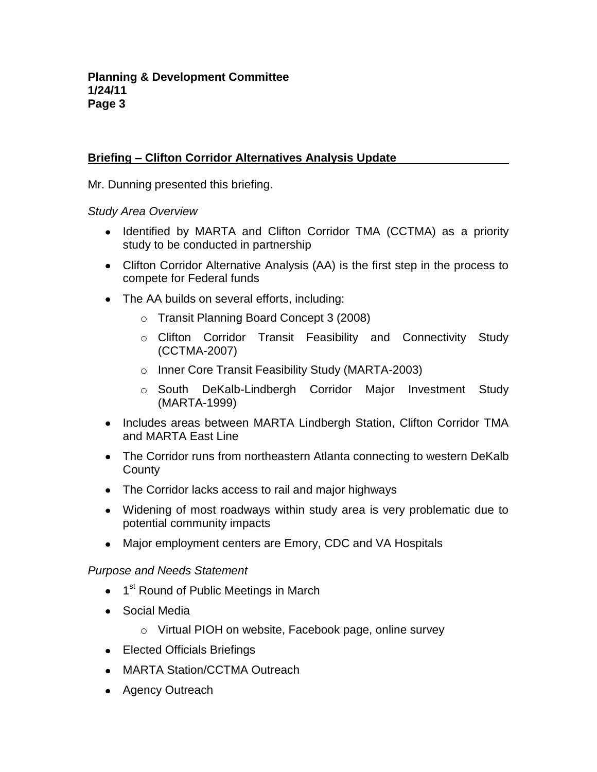# **Briefing – Clifton Corridor Alternatives Analysis Update**

Mr. Dunning presented this briefing.

*Study Area Overview*

- Identified by MARTA and Clifton Corridor TMA (CCTMA) as a priority study to be conducted in partnership
- Clifton Corridor Alternative Analysis (AA) is the first step in the process to compete for Federal funds
- The AA builds on several efforts, including:
	- o Transit Planning Board Concept 3 (2008)
	- o Clifton Corridor Transit Feasibility and Connectivity Study (CCTMA-2007)
	- o Inner Core Transit Feasibility Study (MARTA-2003)
	- o South DeKalb-Lindbergh Corridor Major Investment Study (MARTA-1999)
- Includes areas between MARTA Lindbergh Station, Clifton Corridor TMA and MARTA East Line
- The Corridor runs from northeastern Atlanta connecting to western DeKalb **County**
- The Corridor lacks access to rail and major highways
- Widening of most roadways within study area is very problematic due to potential community impacts
- Major employment centers are Emory, CDC and VA Hospitals

## *Purpose and Needs Statement*

- 1<sup>st</sup> Round of Public Meetings in March
- Social Media
	- o Virtual PIOH on website, Facebook page, online survey
- Elected Officials Briefings
- MARTA Station/CCTMA Outreach
- Agency Outreach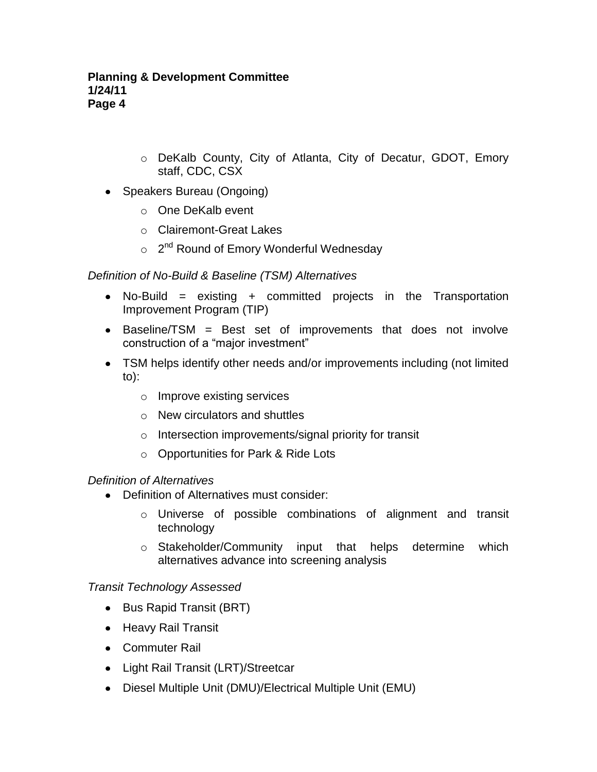- o DeKalb County, City of Atlanta, City of Decatur, GDOT, Emory staff, CDC, CSX
- Speakers Bureau (Ongoing)
	- o One DeKalb event
	- o Clairemont-Great Lakes
	- o 2<sup>nd</sup> Round of Emory Wonderful Wednesday

# *Definition of No-Build & Baseline (TSM) Alternatives*

- No-Build = existing + committed projects in the Transportation Improvement Program (TIP)
- Baseline/TSM = Best set of improvements that does not involve construction of a "major investment"
- TSM helps identify other needs and/or improvements including (not limited to):
	- o Improve existing services
	- o New circulators and shuttles
	- o Intersection improvements/signal priority for transit
	- o Opportunities for Park & Ride Lots

## *Definition of Alternatives*

- Definition of Alternatives must consider:
	- o Universe of possible combinations of alignment and transit technology
	- o Stakeholder/Community input that helps determine which alternatives advance into screening analysis

## *Transit Technology Assessed*

- Bus Rapid Transit (BRT)
- Heavy Rail Transit
- Commuter Rail
- Light Rail Transit (LRT)/Streetcar
- Diesel Multiple Unit (DMU)/Electrical Multiple Unit (EMU)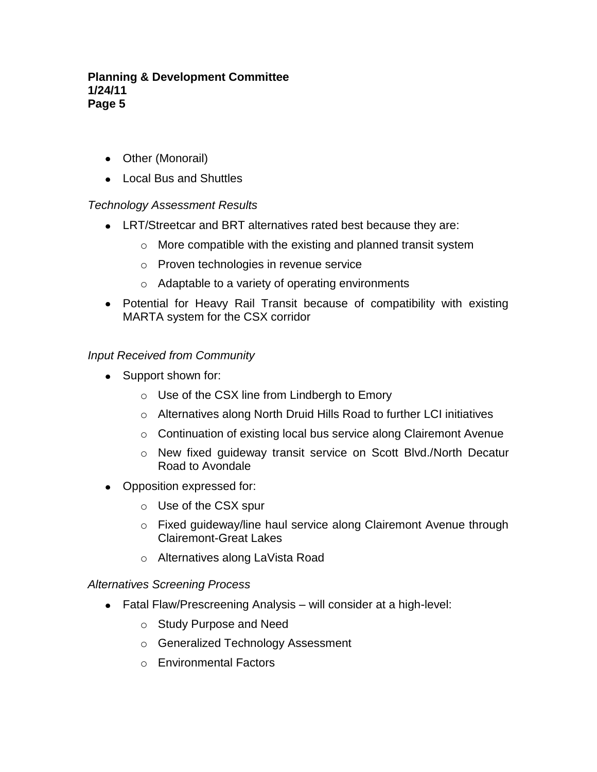#### **Planning & Development Committee 1/24/11 Page 5**

- Other (Monorail)
- Local Bus and Shuttles

## *Technology Assessment Results*

- LRT/Streetcar and BRT alternatives rated best because they are:
	- o More compatible with the existing and planned transit system
	- o Proven technologies in revenue service
	- o Adaptable to a variety of operating environments
- Potential for Heavy Rail Transit because of compatibility with existing MARTA system for the CSX corridor

#### *Input Received from Community*

- Support shown for:
	- o Use of the CSX line from Lindbergh to Emory
	- o Alternatives along North Druid Hills Road to further LCI initiatives
	- o Continuation of existing local bus service along Clairemont Avenue
	- o New fixed guideway transit service on Scott Blvd./North Decatur Road to Avondale
- Opposition expressed for:
	- o Use of the CSX spur
	- o Fixed guideway/line haul service along Clairemont Avenue through Clairemont-Great Lakes
	- o Alternatives along LaVista Road

#### *Alternatives Screening Process*

- Fatal Flaw/Prescreening Analysis will consider at a high-level:
	- o Study Purpose and Need
	- o Generalized Technology Assessment
	- o Environmental Factors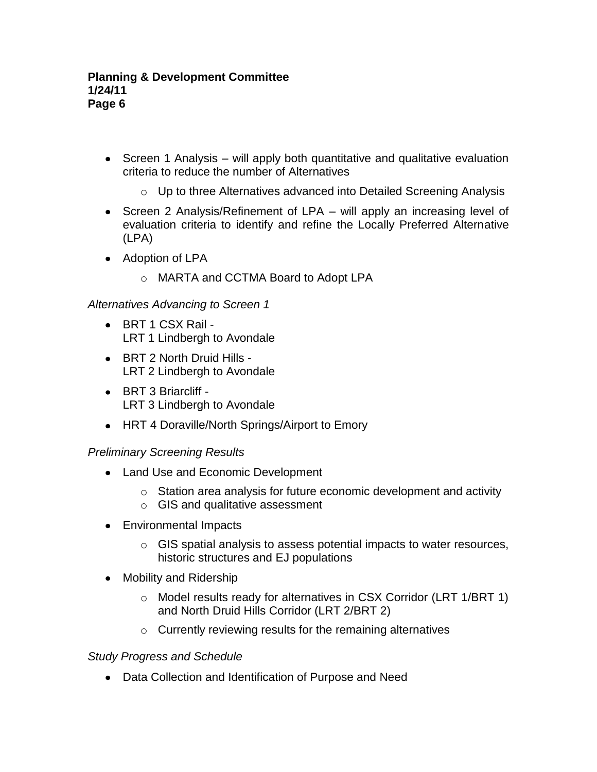- Screen 1 Analysis will apply both quantitative and qualitative evaluation criteria to reduce the number of Alternatives
	- o Up to three Alternatives advanced into Detailed Screening Analysis
- Screen 2 Analysis/Refinement of LPA will apply an increasing level of evaluation criteria to identify and refine the Locally Preferred Alternative (LPA)
- Adoption of LPA
	- o MARTA and CCTMA Board to Adopt LPA

*Alternatives Advancing to Screen 1*

- BRT 1 CSX Rail -LRT 1 Lindbergh to Avondale
- BRT 2 North Druid Hills LRT 2 Lindbergh to Avondale
- BRT 3 Briarcliff LRT 3 Lindbergh to Avondale
- HRT 4 Doraville/North Springs/Airport to Emory

## *Preliminary Screening Results*

- Land Use and Economic Development
	- o Station area analysis for future economic development and activity
	- o GIS and qualitative assessment
- Environmental Impacts
	- $\circ$  GIS spatial analysis to assess potential impacts to water resources, historic structures and EJ populations
- Mobility and Ridership
	- o Model results ready for alternatives in CSX Corridor (LRT 1/BRT 1) and North Druid Hills Corridor (LRT 2/BRT 2)
	- $\circ$  Currently reviewing results for the remaining alternatives

## *Study Progress and Schedule*

Data Collection and Identification of Purpose and Need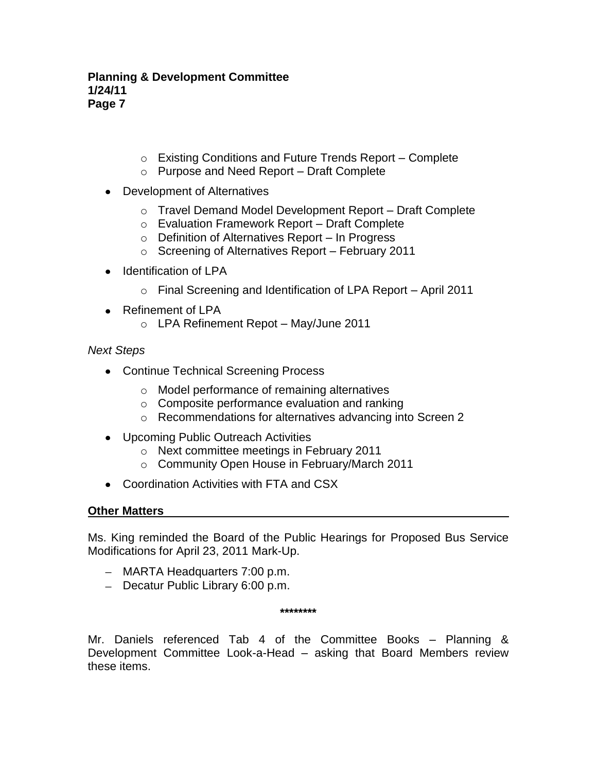#### **Planning & Development Committee 1/24/11 Page 7**

- o Existing Conditions and Future Trends Report Complete
- o Purpose and Need Report Draft Complete
- Development of Alternatives
	- o Travel Demand Model Development Report Draft Complete
	- o Evaluation Framework Report Draft Complete
	- o Definition of Alternatives Report In Progress
	- o Screening of Alternatives Report February 2011
- Identification of LPA  $\bullet$ 
	- o Final Screening and Identification of LPA Report April 2011
- Refinement of LPA
	- o LPA Refinement Repot May/June 2011

## *Next Steps*

- Continue Technical Screening Process
	- o Model performance of remaining alternatives
	- o Composite performance evaluation and ranking
	- o Recommendations for alternatives advancing into Screen 2
- Upcoming Public Outreach Activities
	- o Next committee meetings in February 2011
	- o Community Open House in February/March 2011
- Coordination Activities with FTA and CSX

## **Other Matters**

Ms. King reminded the Board of the Public Hearings for Proposed Bus Service Modifications for April 23, 2011 Mark-Up.

- MARTA Headquarters 7:00 p.m.
- Decatur Public Library 6:00 p.m.

**\*\*\*\*\*\*\*\***

Mr. Daniels referenced Tab 4 of the Committee Books – Planning & Development Committee Look-a-Head – asking that Board Members review these items.